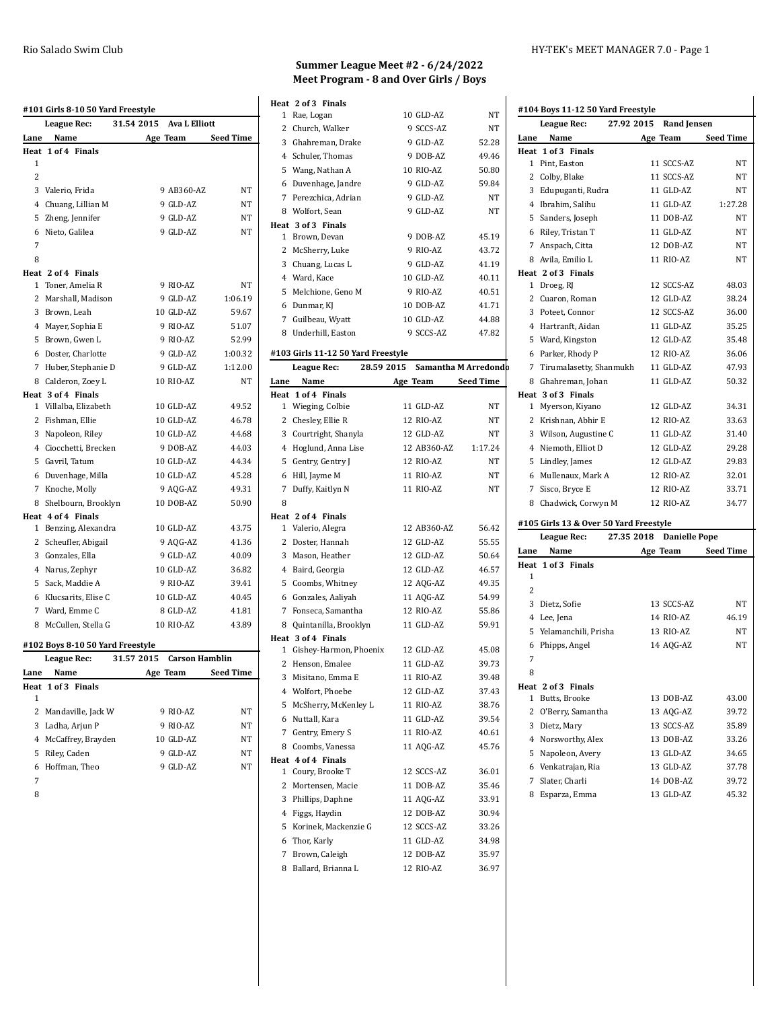| #101 Girls 8-10 50 Yard Freestyle    |                                     |
|--------------------------------------|-------------------------------------|
| <b>League Rec:</b>                   | 31.54 2015<br><b>Ava L Elliott</b>  |
| Name<br>Lane                         | Age Team<br><b>Seed Time</b>        |
| Heat 1 of 4 Finals                   |                                     |
| 1                                    |                                     |
| $\overline{2}$                       |                                     |
| 3<br>Valerio, Frida                  | 9 AB360-AZ<br>NT                    |
| 4 Chuang, Lillian M                  | 9 GLD-AZ<br>NT                      |
| 5<br>Zheng, Jennifer                 | 9 GLD-AZ<br>NΤ                      |
| Nieto, Galilea<br>6                  | 9 GLD-AZ<br>NT                      |
| 7                                    |                                     |
| 8                                    |                                     |
| Heat 2 of 4 Finals                   |                                     |
| 1<br>Toner, Amelia R                 | 9 RIO-AZ<br>NT                      |
| 2<br>Marshall, Madison               | 9 GLD-AZ<br>1:06.19                 |
| 3 Brown, Leah                        | 10 GLD-AZ<br>59.67                  |
| 4 Mayer, Sophia E                    | 9 RIO-AZ<br>51.07                   |
| 5 Brown, Gwen L                      | 9 RIO-AZ<br>52.99                   |
| Doster, Charlotte<br>6               | 9 GLD-AZ<br>1:00.32                 |
| 7 Huber, Stephanie D                 | 1:12.00<br>9 GLD-AZ                 |
| 8<br>Calderon, Zoey L                | 10 RIO-AZ<br>NT                     |
| Heat 3 of 4 Finals                   |                                     |
| 1 Villalba, Elizabeth                | 10 GLD-AZ<br>49.52                  |
| 2<br>Fishman, Ellie                  | 10 GLD-AZ<br>46.78                  |
| 3 Napoleon, Riley                    | 10 GLD-AZ<br>44.68                  |
| 4 Ciocchetti, Brecken                | 9 DOB-AZ<br>44.03                   |
| 5 Gavril, Tatum                      | 10 GLD-AZ<br>44.34                  |
| 6 Duvenhage, Milla                   | 45.28<br>10 GLD-AZ                  |
| 7<br>Knoche, Molly                   | 9 AQG-AZ<br>49.31                   |
| 8<br>Shelbourn, Brooklyn             | 10 DOB-AZ<br>50.90                  |
| Heat 4 of 4 Finals                   |                                     |
| 1 Benzing, Alexandra                 | 10 GLD-AZ<br>43.75                  |
| $\overline{2}$<br>Scheufler, Abigail | 9 AQG-AZ<br>41.36                   |
| 3 Gonzales, Ella                     | 9 GLD-AZ<br>40.09                   |
| 4 Narus, Zephyr                      | 10 GLD-AZ<br>36.82                  |
| 5<br>Sack, Maddie A                  | 9 RIO-AZ<br>39.41                   |
| Klucsarits, Elise C<br>6             | 10 GLD-AZ<br>40.45                  |
| 7 Ward, Emme C                       | 8 GLD-AZ<br>41.81                   |
| 8 McCullen, Stella G                 | 10 RIO-AZ<br>43.89                  |
| #102 Boys 8-10 50 Yard Freestyle     |                                     |
| <b>League Rec:</b>                   | 31.57 2015<br><b>Carson Hamblin</b> |
| Name<br>Lane                         | Seed Time<br>Age Team               |
| Heat 1 of 3 Finals                   |                                     |
| 1                                    |                                     |
| 2<br>Mandaville, Jack W              | 9 RIO-AZ<br>NT                      |
| 3<br>Ladha, Arjun P                  | 9 RIO-AZ<br>NT                      |
| 4<br>McCaffrey, Brayden              | 10 GLD-AZ<br>NΤ                     |
| 5<br>Riley, Caden                    | 9 GLD-AZ<br>NΤ                      |
| Hoffman, Theo<br>6                   | 9 GLD-AZ<br>NΤ                      |
| 7                                    |                                     |
| $\Omega$                             |                                     |

#### **Summer League Meet #2 - 6/24/2022 Meet Program - 8 and Over Girls / Boys**

3 Ghahreman, Drake 9 GLD-AZ 52.28

**Heat 2 of 3 Finals**

**Heat 3 of 4 Finals**

**Heat 4 of 4 Finals**

#### Rio Salado Swim Club HY-TEK's MEET MANAGER 7.0 - Page 1

| at 2 of 3 Finals |           |    |                                   |            |
|------------------|-----------|----|-----------------------------------|------------|
| 1 Rae, Logan     | 10 GLD-AZ | NT | #104 Boys 11-12 50 Yard Freestyle |            |
| 2 Church, Walker | 9 SCCS-AZ | NΤ | League Rec:                       | 27.92 2015 |

|              | <b>League Rec:</b>                     | 27.92 2015 | <b>Rand Jensen</b>   |                  |
|--------------|----------------------------------------|------------|----------------------|------------------|
| Lane         | Name                                   |            | Age Team             | <b>Seed Time</b> |
|              | Heat 1 of 3 Finals                     |            |                      |                  |
|              | 1 Pint, Easton                         |            | 11 SCCS-AZ           | NΤ               |
|              | 2 Colby, Blake                         |            | 11 SCCS-AZ           | NΤ               |
|              | 3 Edupuganti, Rudra                    |            | 11 GLD-AZ            | NT               |
|              | 4 Ibrahim, Salihu                      |            | 11 GLD-AZ            | 1:27.28          |
|              | 5 Sanders, Joseph                      |            | 11 DOB-AZ            | NT               |
|              | 6 Riley, Tristan T                     |            | 11 GLD-AZ            | NΤ               |
|              | 7 Anspach, Citta                       |            | 12 DOB-AZ            | NΤ               |
|              | 8 Avila, Emilio L                      |            | 11 RIO-AZ            | NΤ               |
|              | Heat 2 of 3 Finals                     |            |                      |                  |
|              | 1 Droeg, RJ                            |            | 12 SCCS-AZ           | 48.03            |
|              | 2 Cuaron, Roman                        |            | 12 GLD-AZ            | 38.24            |
|              | 3 Poteet, Connor                       |            | 12 SCCS-AZ           | 36.00            |
|              | 4 Hartranft, Aidan                     |            | 11 GLD-AZ            | 35.25            |
|              | 5 Ward, Kingston                       |            | 12 GLD-AZ            | 35.48            |
|              | 6 Parker, Rhody P                      |            | 12 RIO-AZ            | 36.06            |
|              | 7 Tirumalasetty, Shanmukh              |            | 11 GLD-AZ            | 47.93            |
|              | 8 Ghahreman, Johan                     |            | 11 GLD-AZ            | 50.32            |
|              | Heat 3 of 3 Finals                     |            |                      |                  |
|              | 1 Myerson, Kiyano                      |            | 12 GLD-AZ            | 34.31            |
|              | 2 Krishnan, Abhir E                    |            | 12 RIO-AZ            | 33.63            |
|              | 3 Wilson, Augustine C                  |            | 11 GLD-AZ            | 31.40            |
|              | 4 Niemoth, Elliot D                    |            | 12 GLD-AZ            | 29.28            |
|              | 5 Lindley, James                       |            | 12 GLD-AZ            | 29.83            |
|              | 6 Mullenaux, Mark A                    |            | 12 RIO-AZ            | 32.01            |
| 7            | Sisco, Bryce E                         |            | 12 RIO-AZ            | 33.71            |
|              | 8 Chadwick, Corwyn M                   |            | 12 RIO-AZ            | 34.77            |
|              | #105 Girls 13 & Over 50 Yard Freestyle |            |                      |                  |
|              | <b>League Rec:</b>                     | 27.35 2018 | <b>Danielle Pope</b> |                  |
| Lane         | Name                                   |            | Age Team             | <b>Seed Time</b> |
|              | Heat 1 of 3 Finals                     |            |                      |                  |
| 1            |                                        |            |                      |                  |
| 2            |                                        |            |                      |                  |
|              | 3 Dietz, Sofie                         |            | 13 SCCS-AZ           | NT               |
|              | 4 Lee, Jena                            |            | 14 RIO-AZ            | 46.19            |
|              | 5 Yelamanchili, Prisha                 |            | 13 RIO-AZ            | NΤ               |
|              | 6 Phipps, Angel                        |            | 14 AQG-AZ            | NT               |
| 7            |                                        |            |                      |                  |
| 8            |                                        |            |                      |                  |
|              | Heat 2 of 3 Finals                     |            |                      |                  |
| $\mathbf{1}$ | Butts, Brooke                          |            | 13 DOB-AZ            | 43.00            |
| 2            | O'Berry, Samantha                      |            | 13 AQG-AZ            | 39.72            |
| 3            | Dietz, Mary                            |            | 13 SCCS-AZ           | 35.89            |
| 4            | Norsworthy, Alex                       |            | 13 DOB-AZ            | 33.26            |
| 5            | Napoleon, Avery                        |            | 13 GLD-AZ            | 34.65            |
|              | 6 Venkatrajan, Ria                     |            | 13 GLD-AZ            | 37.78            |
| 7            | Slater, Charli                         |            | 14 DOB-AZ            | 39.72            |
| 8            | Esparza, Emma                          |            | 13 GLD-AZ            | 45.32            |
|              |                                        |            |                      |                  |

| 4              | Schuler, Thomas                    | 9 DOB-AZ    | 49.46                |
|----------------|------------------------------------|-------------|----------------------|
| 5              | Wang, Nathan A                     | 10 RIO-AZ   | 50.80                |
| 6              | Duvenhage, Jandre                  | 9 GLD-AZ    | 59.84                |
| $7^{\circ}$    | Perezchica, Adrian                 | 9 GLD-AZ    | <b>NT</b>            |
|                | 8 Wolfort, Sean                    | 9 GLD-AZ    | NT                   |
|                | Heat 3 of 3 Finals                 |             |                      |
| 1              | Brown, Devan                       | 9 DOB-AZ    | 45.19                |
|                | 2 McSherry, Luke                   | 9 RIO-AZ    | 43.72                |
| 3              | Chuang, Lucas L                    | 9 GLD-AZ    | 41.19                |
|                | 4 Ward, Kace                       | 10 GLD-AZ   | 40.11                |
| 5              | Melchione, Geno M                  | 9 RIO-AZ    | 40.51                |
|                | 6 Dunmar, KJ                       | 10 DOB-AZ   | 41.71                |
| 7              | Guilbeau, Wyatt                    | 10 GLD-AZ   | 44.88                |
| 8              | Underhill, Easton                  | 9 SCCS-AZ   | 47.82                |
|                | #103 Girls 11-12 50 Yard Freestyle |             |                      |
|                | <b>League Rec:</b>                 | 28.59 2015  | Samantha M Arredondb |
| Lane           | Name                               | Age Team    | <b>Seed Time</b>     |
|                |                                    |             |                      |
| Heat           | 1 of 4 Finals                      |             |                      |
| 1              | Wieging, Colbie                    | 11 GLD-AZ   | NT                   |
| 2              | Chesley, Ellie R                   | 12 RIO-AZ   | NΤ                   |
| $\overline{3}$ | Courtright, Shanyla                | 12 GLD-AZ   | NT                   |
| 4              | Hoglund, Anna Lise                 | 12 AB360-AZ | 1:17.24              |
| 5              | Gentry, Gentry J                   | 12 RIO-AZ   | NT                   |
| 6              | Hill, Jayme M                      | 11 RIO-AZ   | NT                   |
| 7              | Duffy, Kaitlyn N                   | 11 RIO-AZ   | NT                   |
| 8              |                                    |             |                      |
| Heat           | 2 of 4 Finals                      |             |                      |
| 1              | Valerio, Alegra                    | 12 AB360-AZ | 56.42                |
| 2              | Doster, Hannah                     | 12 GLD-AZ   | 55.55                |
| 3              | Mason, Heather                     | 12 GLD-AZ   | 50.64                |
|                | 4 Baird, Georgia                   | 12 GLD-AZ   | 46.57                |
| 5              | Coombs, Whitney                    | 12 AQG-AZ   | 49.35                |
| 6              | Gonzales, Aaliyah                  | 11 AQG-AZ   | 54.99                |
| 7              | Fonseca, Samantha                  | 12 RIO-AZ   | 55.86                |

 Gishey-Harmon, Phoenix 12 GLD-AZ 45.08 Henson, Emalee 11 GLD-AZ 39.73 Misitano, Emma E 11 RIO-AZ 39.48 Wolfort, Phoebe 12 GLD-AZ 37.43 McSherry, McKenley L 11 RIO-AZ 38.76 Nuttall, Kara 11 GLD-AZ 39.54 7 Gentry, Emery S 11 RIO-AZ 40.61 8 Coombs, Vanessa 11 AQG-AZ 45.76

 Coury, Brooke T 12 SCCS-AZ 36.01 Mortensen, Macie 11 DOB-AZ 35.46 Phillips, Daphne 11 AQG-AZ 33.91 Figgs, Haydin 12 DOB-AZ 30.94 Korinek, Mackenzie G 12 SCCS-AZ 33.26 Thor, Karly 11 GLD-AZ 34.98 Brown, Caleigh 12 DOB-AZ 35.97 8 Ballard, Brianna L 12 RIO-AZ 36.97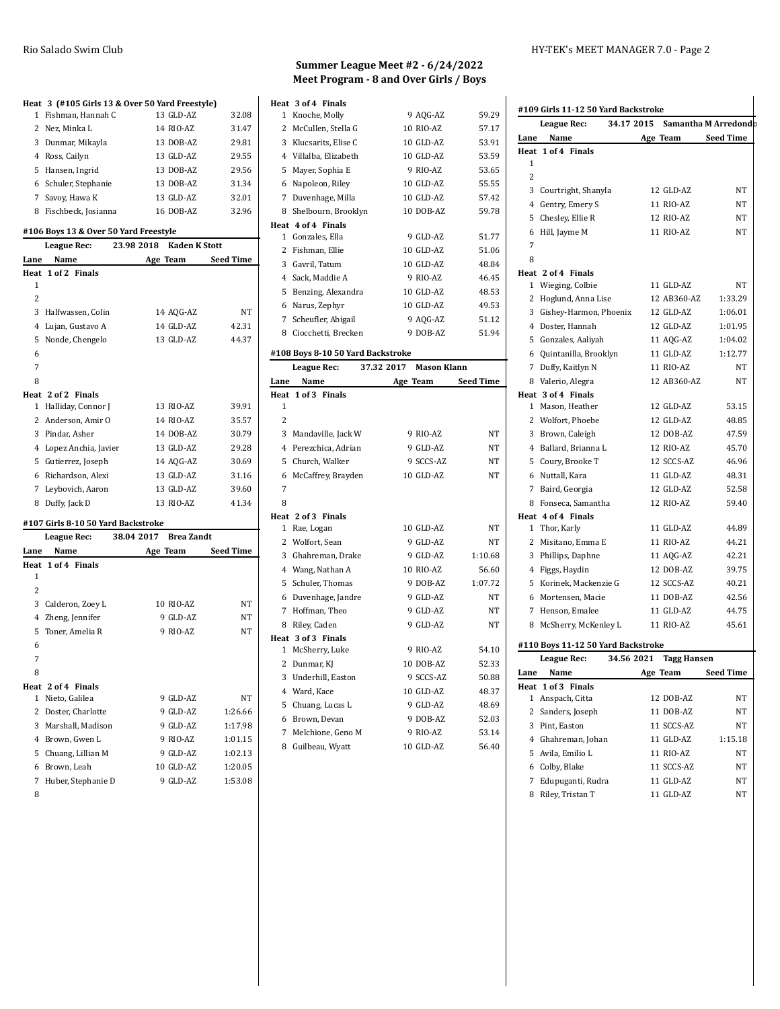|                | Heat 3 (#105 Girls 13 & Over 50 Yard Freestyle) |            |                      |                  |
|----------------|-------------------------------------------------|------------|----------------------|------------------|
| 1              | Fishman, Hannah C                               |            | 13 GLD-AZ            | 32.08            |
|                | 2 Nez, Minka L                                  |            | 14 RIO-AZ            | 31.47            |
|                | 3 Dunmar, Mikayla                               |            | 13 DOB-AZ            | 29.81            |
|                | 4 Ross, Cailyn                                  |            | 13 GLD-AZ            | 29.55            |
|                | 5 Hansen, Ingrid                                |            | 13 DOB-AZ            | 29.56            |
|                | 6 Schuler, Stephanie                            |            | 13 DOB-AZ            | 31.34            |
| $7^{\circ}$    | Savoy, Hawa K                                   |            | 13 GLD-AZ            | 32.01            |
| 8              | Fischbeck, Josianna                             |            | 16 DOB-AZ            | 32.96            |
|                | #106 Boys 13 & Over 50 Yard Freestyle           |            |                      |                  |
|                | League Rec:                                     | 23.98 2018 | <b>Kaden K Stott</b> |                  |
| Lane           | Name                                            |            | Age Team             | <b>Seed Time</b> |
| Heat           | 1 of 2 Finals                                   |            |                      |                  |
| 1              |                                                 |            |                      |                  |
| $\overline{c}$ |                                                 |            |                      |                  |
| 3              | Halfwassen, Colin                               |            | 14 AQG-AZ            | NT               |
| 4              | Lujan, Gustavo A                                |            | 14 GLD-AZ            | 42.31            |
| 5              | Nonde, Chengelo                                 |            | 13 GLD-AZ            | 44.37            |
| 6              |                                                 |            |                      |                  |
| 7              |                                                 |            |                      |                  |
| 8              |                                                 |            |                      |                  |
| Heat           | 2 of 2 Finals                                   |            |                      |                  |
| $\mathbf{1}$   | Halliday, Connor J                              |            | 13 RIO-AZ            | 39.91            |
|                | 2 Anderson, Amir O                              |            | 14 RIO-AZ            | 35.57            |
|                | 3 Pindar, Asher                                 |            | 14 DOB-AZ            | 30.79            |
| $\overline{4}$ | Lopez Anchia, Javier                            |            | 13 GLD-AZ            | 29.28            |
| 5              | Gutierrez, Joseph                               |            | 14 AQG-AZ            | 30.69            |
|                | 6 Richardson, Alexi                             |            | 13 GLD-AZ            | 31.16            |
| 7              | Leybovich, Aaron                                |            | 13 GLD-AZ            | 39.60            |
| 8              | Duffy, Jack D                                   |            | 13 RIO-AZ            | 41.34            |
|                | #107 Girls 8-10 50 Yard Backstroke              |            |                      |                  |
|                | League Rec:                                     | 38.04 2017 | <b>Brea Zandt</b>    |                  |
| Lane           | Name                                            |            | Age Team             | <b>Seed Time</b> |
|                | Heat 1 of 4 Finals                              |            |                      |                  |
| 1              |                                                 |            |                      |                  |
| $\mathcal{P}$  |                                                 |            |                      |                  |

|   | 3 Calderon, Zoey L   | 10 RIO-AZ | NT      |
|---|----------------------|-----------|---------|
|   | 4 Zheng, Jennifer    | 9 GLD-AZ  | NT      |
|   | 5 Toner, Amelia R    | 9 RIO-AZ  | NT      |
| 6 |                      |           |         |
| 7 |                      |           |         |
| 8 |                      |           |         |
|   | Heat 2 of 4 Finals   |           |         |
|   | 1 Nieto, Galilea     | 9 GLD-AZ  | NT      |
|   | 2 Doster. Charlotte  | 9 GLD-AZ  | 1:26.66 |
|   | 3 Marshall, Madison  | 9 GLD-AZ  | 1:17.98 |
|   | 4 Brown, Gwen L      | 9 RIO-AZ  | 1:01.15 |
|   | 5 Chuang, Lillian M  | 9 GLD-AZ  | 1:02.13 |
|   | 6 Brown, Leah        | 10 GLD-AZ | 1:20.05 |
|   | 7 Huber, Stephanie D | 9 GLD-AZ  | 1:53.08 |

#### **Summer League Meet #2 - 6/24/2022 Meet Program - 8 and Over Girls / Boys**

| Heat 3 of 4 Finals                |                    |         |
|-----------------------------------|--------------------|---------|
| Knoche, Molly<br>1                | 9 AQG-AZ           | 59.29   |
| 2 McCullen, Stella G              | 10 RIO-AZ          | 57.17   |
| 3 Klucsarits, Elise C             | 10 GLD-AZ          | 53.91   |
| 4 Villalba, Elizabeth             | 10 GLD-AZ          | 53.59   |
| 5 Mayer, Sophia E                 | 9 RIO-AZ           | 53.65   |
| 6 Napoleon, Riley                 | 10 GLD-AZ          | 55.55   |
| 7 Duvenhage, Milla                | 10 GLD-AZ          | 57.42   |
| 8 Shelbourn, Brooklyn             | 10 DOB-AZ          | 59.78   |
| Heat 4 of 4 Finals                |                    |         |
| Gonzales, Ella<br>$\mathbf{1}$    | 9 GLD-AZ           | 51.77   |
| 2 Fishman, Ellie                  | 10 GLD-AZ          | 51.06   |
| 3 Gavril, Tatum                   | 10 GLD-AZ          | 48.84   |
| 4 Sack, Maddie A                  | 9 RIO-AZ           | 46.45   |
| 5<br>Benzing, Alexandra           | 10 GLD-AZ          | 48.53   |
| 6 Narus, Zephyr                   | 10 GLD-AZ          | 49.53   |
| 7 Scheufler, Abigail              | 9 AOG-AZ           | 51.12   |
| 8 Ciocchetti, Brecken             | 9 DOB-AZ           | 51.94   |
| #108 Boys 8-10 50 Yard Backstroke |                    |         |
| 37.32 2017<br><b>League Rec:</b>  | <b>Mason Klann</b> |         |
| Name<br>Lane                      | Age Team Seed Time |         |
| Heat 1 of 3 Finals                |                    |         |
| $\mathbf{1}$                      |                    |         |
|                                   |                    |         |
| 2                                 |                    |         |
| 3 Mandaville, Jack W              | 9 RIO-AZ           | NT      |
| 4 Perezchica, Adrian              | 9 GLD-AZ           | NT      |
| Church, Walker<br>5               | 9 SCCS-AZ          | NT      |
| McCaffrey, Brayden<br>6           | 10 GLD-AZ          | NT      |
| 7                                 |                    |         |
| 8                                 |                    |         |
| Heat 2 of 3 Finals                |                    |         |
| Rae, Logan<br>$\mathbf{1}$        | 10 GLD-AZ          | NT      |
| 2 Wolfort, Sean                   | 9 GLD-AZ           | NΤ      |
| 3 Ghahreman, Drake                | 9 GLD-AZ           | 1:10.68 |
| 4 Wang, Nathan A                  | 10 RIO-AZ          | 56.60   |
| Schuler, Thomas<br>5              | 9 DOB-AZ           | 1:07.72 |
| 6 Duvenhage, Jandre               | 9 GLD-AZ           | NT      |
| 7 Hoffman, Theo                   | 9 GLD-AZ           | NΤ      |
| Riley, Caden<br>8                 | 9 GLD-AZ           | NΤ      |
| Heat 3 of 3 Finals                |                    |         |
| McSherry, Luke<br>1               | 9 RIO-AZ           | 54.10   |
| 2 Dunmar, KJ                      | 10 DOB-AZ          | 52.33   |
| 3 Underhill, Easton               | 9 SCCS-AZ          | 50.88   |
| 4 Ward, Kace                      | 10 GLD-AZ          | 48.37   |
| 5<br>Chuang, Lucas L              | 9 GLD-AZ           | 48.69   |
| 6 Brown, Devan                    | 9 DOB-AZ           | 52.03   |
| 7<br>Melchione, Geno M            | 9 RIO-AZ           | 53.14   |

### **#109 Girls 11-12 50 Yard Backstroke**

|                | League Rec:                        | 34.17 2015 Samantha M Arredondb |                    |                    |
|----------------|------------------------------------|---------------------------------|--------------------|--------------------|
| Lane           | Name                               |                                 |                    | Age Team Seed Time |
|                | Heat 1 of 4 Finals                 |                                 |                    |                    |
| 1              |                                    |                                 |                    |                    |
| $\overline{2}$ |                                    |                                 |                    |                    |
|                | 3 Courtright, Shanyla              |                                 | 12 GLD-AZ          | NΤ                 |
|                | 4 Gentry, Emery S                  |                                 | 11 RIO-AZ          | NT                 |
|                | 5 Chesley, Ellie R                 |                                 | 12 RIO-AZ          | NΤ                 |
|                | 6 Hill, Jayme M                    |                                 | 11 RIO-AZ          | NT                 |
| 7              |                                    |                                 |                    |                    |
| 8              |                                    |                                 |                    |                    |
|                | Heat 2 of 4 Finals                 |                                 |                    |                    |
|                | 1 Wieging, Colbie                  |                                 | 11 GLD-AZ          | NT                 |
|                | 2 Hoglund, Anna Lise               |                                 | 12 AB360-AZ        | 1:33.29            |
|                | 3 Gishey-Harmon, Phoenix           |                                 | 12 GLD-AZ          | 1:06.01            |
|                | 4 Doster, Hannah                   |                                 | 12 GLD-AZ          | 1:01.95            |
|                | 5 Gonzales, Aaliyah                |                                 | 11 AQG-AZ          | 1:04.02            |
|                | 6 Quintanilla, Brooklyn            |                                 | 11 GLD-AZ          | 1:12.77            |
|                | 7 Duffy, Kaitlyn N                 |                                 | 11 RIO-AZ          | NT                 |
|                | 8 Valerio, Alegra                  |                                 | 12 AB360-AZ        | NT                 |
|                | Heat 3 of 4 Finals                 |                                 |                    |                    |
|                | 1 Mason, Heather                   |                                 | 12 GLD-AZ          | 53.15              |
|                | 2 Wolfort, Phoebe                  |                                 | 12 GLD-AZ          | 48.85              |
|                | 3 Brown, Caleigh                   |                                 | 12 DOB-AZ          | 47.59              |
|                | 4 Ballard, Brianna L               |                                 | 12 RIO-AZ          | 45.70              |
|                | 5 Coury, Brooke T                  |                                 | 12 SCCS-AZ         | 46.96              |
|                | 6 Nuttall, Kara                    |                                 | 11 GLD-AZ          | 48.31              |
|                | 7 Baird, Georgia                   |                                 | 12 GLD-AZ          | 52.58              |
|                | 8 Fonseca, Samantha                |                                 | 12 RIO-AZ          | 59.40              |
|                | Heat 4 of 4 Finals                 |                                 |                    |                    |
|                | 1 Thor, Karly                      |                                 | 11 GLD-AZ          | 44.89              |
|                | 2 Misitano, Emma E                 |                                 | 11 RIO-AZ          | 44.21              |
|                | 3 Phillips, Daphne                 |                                 | 11 AQG-AZ          | 42.21              |
|                | 4 Figgs, Haydin                    |                                 | 12 DOB-AZ          | 39.75              |
|                | 5 Korinek, Mackenzie G             |                                 | 12 SCCS-AZ         | 40.21              |
|                | 6 Mortensen, Macie                 |                                 | 11 DOB-AZ          | 42.56              |
|                | 7 Henson, Emalee                   |                                 | 11 GLD-AZ          | 44.75              |
|                | 8 McSherry, McKenley L             |                                 | 11 RIO-AZ          | 45.61              |
|                | #110 Boys 11-12 50 Yard Backstroke |                                 |                    |                    |
|                | <b>League Rec:</b>                 | 34.56 2021                      | <b>Tagg Hansen</b> |                    |
| Lane           | Name                               |                                 | Age Team           | <b>Seed Time</b>   |
|                | Heat 1 of 3 Finals                 |                                 |                    |                    |
|                | 1 Anspach, Citta                   |                                 | 12 DOB-AZ          | NΤ                 |
|                | 2 Sanders, Joseph                  |                                 | 11 DOB-AZ          | NT                 |
|                | 3 Pint, Easton                     |                                 | 11 SCCS-AZ         | NT                 |
|                | 4 Ghahreman, Johan                 |                                 | 11 GLD-AZ          | 1:15.18            |
| 5              | Avila, Emilio L                    |                                 | 11 RIO-AZ          | NT                 |

 Colby, Blake 11 SCCS-AZ NT Edupuganti, Rudra 11 GLD-AZ NT 8 Riley, Tristan T 11 GLD-AZ NT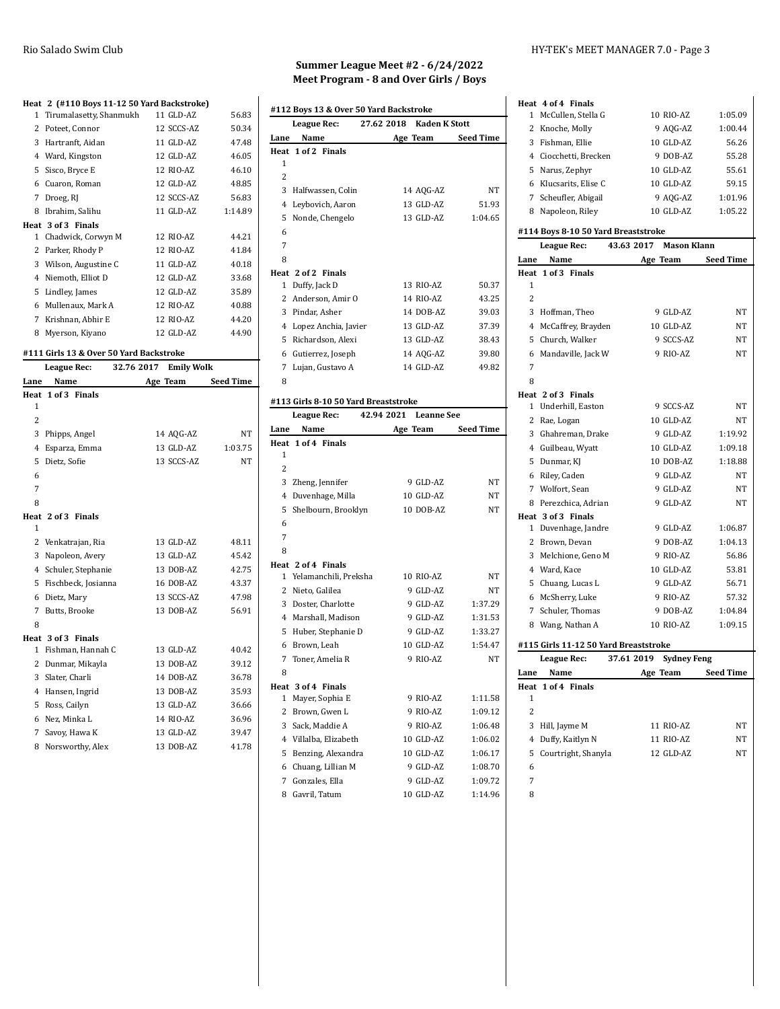#### **Heat 2 (#110 Boys 11-12 50 Yard Backstroke)**

|              | $\frac{1}{2}$ . The state boys in the so-range backs around $\frac{1}{2}$ |            |         |
|--------------|---------------------------------------------------------------------------|------------|---------|
|              | 1 Tirumalasetty, Shanmukh                                                 | 11 GLD-AZ  | 56.83   |
|              | 2 Poteet, Connor                                                          | 12 SCCS-AZ | 50.34   |
| 3            | Hartranft, Aidan                                                          | 11 GLD-AZ  | 47.48   |
|              | 4 Ward, Kingston                                                          | 12 GLD-AZ  | 46.05   |
|              | 5 Sisco, Bryce E                                                          | 12 RIO-AZ  | 46.10   |
| 6            | Cuaron, Roman                                                             | 12 GLD-AZ  | 48.85   |
| 7            | Droeg, RJ                                                                 | 12 SCCS-AZ | 56.83   |
| 8            | Ibrahim, Salihu                                                           | 11 GLD-AZ  | 1:14.89 |
|              | Heat 3 of 3 Finals                                                        |            |         |
| $\mathbf{1}$ | Chadwick, Corwyn M                                                        | 12 RIO-AZ  | 44.21   |
| 2            | Parker, Rhody P                                                           | 12 RIO-AZ  | 41.84   |
|              | 3 Wilson, Augustine C                                                     | 11 GLD-AZ  | 40.18   |
|              | 4 Niemoth, Elliot D                                                       | 12 GLD-AZ  | 33.68   |
| 5            | Lindley, James                                                            | 12 GLD-AZ  | 35.89   |
| 6            | Mullenaux, Mark A                                                         | 12 RIO-AZ  | 40.88   |
| 7            | Krishnan, Abhir E                                                         | 12 RIO-AZ  | 44.20   |
| 8            | Myerson, Kiyano                                                           | 12 GLD-AZ  | 44.90   |

#### **#111 Girls 13 & Over 50 Yard Backstroke**

| League Rec:    |                              | 32.76 2017 | <b>Emily Wolk</b> |
|----------------|------------------------------|------------|-------------------|
| Lane           | Name                         | Age Team   | <b>Seed Time</b>  |
| Heat           | 1 of 3 Finals                |            |                   |
| 1              |                              |            |                   |
| $\overline{c}$ |                              |            |                   |
| 3              | Phipps, Angel                | 14 AQG-AZ  | NT                |
| 4              | Esparza, Emma                | 13 GLD-AZ  | 1:03.75           |
| 5              | Dietz, Sofie                 | 13 SCCS-AZ | NT                |
| 6              |                              |            |                   |
| 7              |                              |            |                   |
| 8              |                              |            |                   |
|                | Heat 2 of 3<br><b>Finals</b> |            |                   |
| 1              |                              |            |                   |
| 2              | Venkatrajan, Ria             | 13 GLD-AZ  | 48.11             |
| 3              | Napoleon, Avery              | 13 GLD-AZ  | 45.42             |
| 4              | Schuler, Stephanie           | 13 DOB-AZ  | 42.75             |
|                | 5 Fischbeck, Josianna        | 16 DOB-AZ  | 43.37             |
| 6              | Dietz, Mary                  | 13 SCCS-AZ | 47.98             |
| 7              | Butts, Brooke                | 13 DOB-AZ  | 56.91             |
| 8              |                              |            |                   |
|                | Heat 3 of 3 Finals           |            |                   |
| $\mathbf{1}$   | Fishman, Hannah C            | 13 GLD-AZ  | 40.42             |
| 2              | Dunmar, Mikayla              | 13 DOB-AZ  | 39.12             |
|                | 3 Slater, Charli             | 14 DOB-AZ  | 36.78             |
| 4              | Hansen, Ingrid               | 13 DOB-AZ  | 35.93             |
| 5              | Ross, Cailyn                 | 13 GLD-AZ  | 36.66             |
| 6              | Nez, Minka L                 | 14 RIO-AZ  | 36.96             |
| 7              | Savoy, Hawa K                | 13 GLD-AZ  | 39.47             |
| 8              | Norsworthy, Alex             | 13 DOB-AZ  | 41.78             |

## **Summer League Meet #2 - 6/24/2022 Meet Program - 8 and Over Girls / Boys**

 $\overline{1}$ 

| #112 Boys 13 & Over 50 Yard Backstroke                   |                                      |                                 |                  |
|----------------------------------------------------------|--------------------------------------|---------------------------------|------------------|
| <b>Kaden K Stott</b><br>27.62 2018<br><b>League Rec:</b> |                                      |                                 |                  |
| Lane                                                     | Name                                 | Age Team                        | Seed Time        |
| Heat                                                     | 1 of 2 Finals                        |                                 |                  |
| 1                                                        |                                      |                                 |                  |
| 2                                                        |                                      |                                 |                  |
|                                                          | 3 Halfwassen, Colin                  | 14 AQG-AZ                       | NT               |
|                                                          | 4 Leybovich, Aaron                   | 13 GLD-AZ                       | 51.93            |
| 5                                                        | Nonde, Chengelo                      | 13 GLD-AZ                       | 1:04.65          |
| 6                                                        |                                      |                                 |                  |
| 7                                                        |                                      |                                 |                  |
| 8                                                        |                                      |                                 |                  |
|                                                          | Heat 2 of 2 Finals                   |                                 |                  |
|                                                          | 1 Duffy, Jack D                      | 13 RIO-AZ                       | 50.37            |
|                                                          | 2 Anderson, Amir O                   | 14 RIO-AZ                       | 43.25            |
|                                                          | 3 Pindar, Asher                      | 14 DOB-AZ                       | 39.03            |
|                                                          | 4 Lopez Anchia, Javier               | 13 GLD-AZ                       | 37.39            |
|                                                          | 5 Richardson, Alexi                  | 13 GLD-AZ                       | 38.43            |
|                                                          | 6 Gutierrez, Joseph                  | 14 AQG-AZ                       | 39.80            |
|                                                          | 7 Lujan, Gustavo A                   | 14 GLD-AZ                       | 49.82            |
| 8                                                        |                                      |                                 |                  |
|                                                          | #113 Girls 8-10 50 Yard Breaststroke |                                 |                  |
|                                                          | League Rec:                          | 42.94 2021<br><b>Leanne See</b> |                  |
| Lane                                                     | Name                                 | Age Team                        | <b>Seed Time</b> |
| Heat                                                     | 1 of 4 Finals                        |                                 |                  |
| 1                                                        |                                      |                                 |                  |
| 2                                                        |                                      |                                 |                  |
|                                                          | 3 Zheng, Jennifer                    | 9 GLD-AZ                        | NT               |
|                                                          | 4 Duvenhage, Milla                   | 10 GLD-AZ                       | NΤ               |
| 5                                                        | Shelbourn, Brooklyn                  | 10 DOB-AZ                       | NΤ               |
| 6                                                        |                                      |                                 |                  |
| 7                                                        |                                      |                                 |                  |
| 8                                                        |                                      |                                 |                  |
|                                                          | Heat 2 of 4 Finals                   |                                 |                  |
| 1                                                        | Yelamanchili, Preksha                | 10 RIO-AZ                       | NΤ               |
|                                                          | 2 Nieto, Galilea                     | 9 GLD-AZ                        | NΤ               |
|                                                          | 3 Doster, Charlotte                  | 9 GLD-AZ                        | 1:37.29          |
|                                                          | 4 Marshall, Madison                  | 9 GLD-AZ                        | 1:31.53          |
| 5                                                        | Huber, Stephanie D                   | 9 GLD-AZ                        | 1:33.27          |
|                                                          | 6 Brown, Leah                        | 10 GLD-AZ                       | 1:54.47          |
|                                                          | 7 Toner, Amelia R                    | 9 RIO-AZ                        | NT               |
| 8                                                        |                                      |                                 |                  |
|                                                          | Heat 3 of 4 Finals                   |                                 |                  |
| 1                                                        | Mayer, Sophia E                      | 9 RIO-AZ                        | 1:11.58          |
| 2                                                        | Brown, Gwen L                        | 9 RIO-AZ                        | 1:09.12          |
| 3                                                        | Sack, Maddie A                       | 9 RIO-AZ                        | 1:06.48          |
| 4                                                        | Villalba, Elizabeth                  | 10 GLD-AZ                       | 1:06.02          |
| 5                                                        | Benzing, Alexandra                   | 10 GLD-AZ                       | 1:06.17          |
| 6                                                        | Chuang, Lillian M                    | 9 GLD-AZ                        | 1:08.70          |
| 7                                                        | Gonzales, Ella                       | 9 GLD-AZ                        | 1:09.72          |
| 8                                                        | Gavril, Tatum                        | 10 GLD-AZ                       | 1:14.96          |

### Rio Salado Swim Club **HY-TEK's MEET MANAGER 7.0** - Page 3

| Heat 4 of 4 Finals                    |                                  |           |
|---------------------------------------|----------------------------------|-----------|
| 1 McCullen, Stella G                  | 10 RIO-AZ                        | 1:05.09   |
| 2 Knoche, Molly                       | 9 AQG-AZ                         | 1:00.44   |
| 3 Fishman, Ellie                      | 10 GLD-AZ                        | 56.26     |
| 4 Ciocchetti, Brecken                 | 9 DOB-AZ                         | 55.28     |
| 5 Narus, Zephyr                       | 10 GLD-AZ                        | 55.61     |
| 6 Klucsarits, Elise C                 | 10 GLD-AZ                        | 59.15     |
| 7 Scheufler, Abigail                  | 9 AQG-AZ                         | 1:01.96   |
| 8 Napoleon, Riley                     | 10 GLD-AZ                        | 1:05.22   |
| #114 Boys 8-10 50 Yard Breaststroke   |                                  |           |
| League Rec:                           | 43.63 2017<br><b>Mason Klann</b> |           |
| Name<br>Lane                          | Age Team                         | Seed Time |
| Heat 1 of 3 Finals                    |                                  |           |
| 1                                     |                                  |           |
| 2                                     |                                  |           |
| 3 Hoffman, Theo                       | 9 GLD-AZ                         | NΤ        |
| 4 McCaffrey, Brayden                  | 10 GLD-AZ                        | NT        |
| 5 Church, Walker                      | 9 SCCS-AZ                        | NT        |
| 6 Mandaville, Jack W                  | 9 RIO-AZ                         | NT        |
| 7                                     |                                  |           |
| 8                                     |                                  |           |
| Heat 2 of 3 Finals                    |                                  |           |
| 1 Underhill, Easton                   | 9 SCCS-AZ                        | NT        |
| 2 Rae, Logan                          | 10 GLD-AZ                        | NT        |
| 3 Ghahreman, Drake                    | 9 GLD-AZ                         | 1:19.92   |
| 4 Guilbeau, Wyatt                     | 10 GLD-AZ                        | 1:09.18   |
| 5 Dunmar, KJ                          | 10 DOB-AZ                        | 1:18.88   |
| 6 Riley, Caden                        | 9 GLD-AZ                         | NT        |
| 7 Wolfort, Sean                       | 9 GLD-AZ                         | NT        |
| 8 Perezchica, Adrian                  | 9 GLD-AZ                         | NT        |
| Heat 3 of 3 Finals                    |                                  |           |
| 1 Duvenhage, Jandre                   | 9 GLD-AZ                         | 1:06.87   |
| 2 Brown, Devan                        | 9 DOB-AZ                         | 1:04.13   |
| 3 Melchione, Geno M                   | 9 RIO-AZ                         | 56.86     |
| 4 Ward, Kace                          | 10 GLD-AZ                        | 53.81     |
| 5 Chuang, Lucas L                     | 9 GLD-AZ                         | 56.71     |
| 6 McSherry, Luke                      | 9 RIO-AZ                         | 57.32     |
| 7 Schuler. Thomas                     | 9 DOB-AZ                         | 1:04.84   |
| 8 Wang, Nathan A                      | 10 RIO-AZ                        | 1:09.15   |
| #115 Girls 11-12 50 Yard Breaststroke |                                  |           |
| <b>League Rec:</b>                    | 37.61 2019<br><b>Sydney Feng</b> |           |
| Name<br>Lane                          | Age Team                         | Seed Time |
| Heat 1 of 4 Finals                    |                                  |           |
| 1                                     |                                  |           |
| 2                                     |                                  |           |
| 3<br>Hill, Jayme M                    | 11 RIO-AZ                        | NΤ        |
| Duffy, Kaitlyn N<br>4                 | 11 RIO-AZ                        | NΤ        |
| 5<br>Courtright, Shanyla              | 12 GLD-AZ                        | NT        |
| 6                                     |                                  |           |
| 7                                     |                                  |           |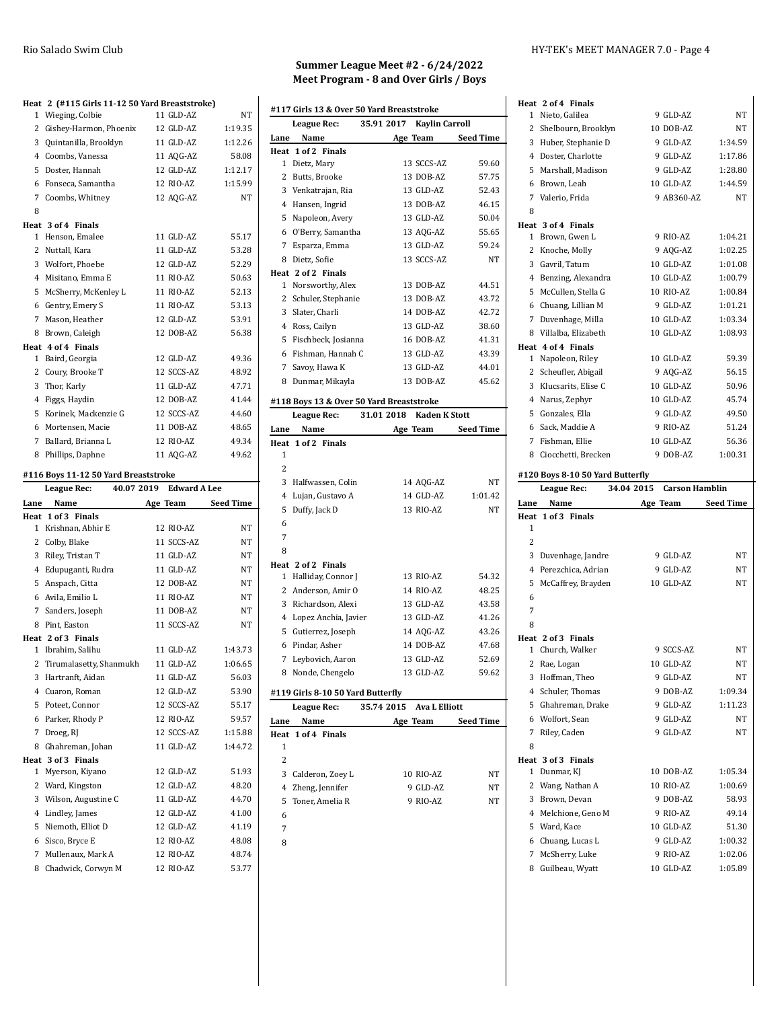| Heat 2 (#115 Girls 11-12 50 Yard Breaststroke) |                         |                |
|------------------------------------------------|-------------------------|----------------|
| Wieging, Colbie<br>1                           | 11 GLD-AZ               | NT             |
| 2<br>Gishey-Harmon, Phoenix                    | 12 GLD-AZ               | 1:19.35        |
| 3<br>Quintanilla, Brooklyn                     | 11 GLD-AZ               | 1:12.26        |
| 4 Coombs, Vanessa                              | 11 AQG-AZ               | 58.08          |
| 5<br>Doster, Hannah                            | 12 GLD-AZ               | 1:12.17        |
| 6 Fonseca, Samantha                            | 12 RIO-AZ               | 1:15.99        |
| 7<br>Coombs, Whitney                           | 12 AQG-AZ               | NT             |
| 8                                              |                         |                |
| Heat 3 of 4 Finals<br>Henson, Emalee<br>1      | 11 GLD-AZ               | 55.17          |
| 2<br>Nuttall, Kara                             | 11 GLD-AZ               | 53.28          |
| 3 Wolfort, Phoebe                              | 12 GLD-AZ               | 52.29          |
| 4 Misitano, Emma E                             | 11 RIO-AZ               | 50.63          |
| McSherry, McKenley L<br>5                      | 11 RIO-AZ               | 52.13          |
| 6 Gentry, Emery S                              | 11 RIO-AZ               | 53.13          |
| 7<br>Mason, Heather                            | 12 GLD-AZ               | 53.91          |
| 8 Brown, Caleigh                               | 12 DOB-AZ               | 56.38          |
| Heat 4 of 4 Finals                             |                         |                |
| 1 Baird, Georgia                               | 12 GLD-AZ               | 49.36          |
| 2<br>Coury, Brooke T                           | 12 SCCS-AZ              | 48.92          |
| 3<br>Thor, Karly                               | 11 GLD-AZ               | 47.71          |
| 4 Figgs, Haydin                                | 12 DOB-AZ               | 41.44          |
| Korinek, Mackenzie G<br>5                      | 12 SCCS-AZ              | 44.60          |
| 6 Mortensen, Macie                             | 11 DOB-AZ               | 48.65          |
| 7<br>Ballard, Brianna L                        | 12 RIO-AZ               | 49.34          |
| 8 Phillips, Daphne                             | 11 AQG-AZ               | 49.62          |
|                                                |                         |                |
|                                                |                         |                |
| #116 Boys 11-12 50 Yard Breaststroke           |                         |                |
| <b>League Rec:</b>                             | 40.07 2019 Edward A Lee |                |
| Lane Name<br>Heat 1 of 3 Finals                | Age Team Seed Time      |                |
| Krishnan, Abhir E<br>1                         | 12 RIO-AZ               | ΝT             |
| 2 Colby, Blake                                 | 11 SCCS-AZ              | NT             |
| 3<br>Riley, Tristan T                          | 11 GLD-AZ               | NT             |
| 4 Edupuganti, Rudra                            | 11 GLD-AZ               | $_{\rm NT}$    |
| 5 Anspach, Citta                               | 12 DOB-AZ               | ΝT             |
| 6 Avila, Emilio L                              | 11 RIO-AZ               | ΝT             |
| 7 Sanders, Joseph                              | 11 DOB-AZ               | NT             |
| Pint, Easton<br>8                              | 11 SCCS-AZ              | NT             |
| Heat 2 of 3 Finals                             |                         |                |
| Ibrahim, Salihu<br>1                           | 11 GLD-AZ               | 1:43.73        |
| 2<br>Tirumalasetty, Shanmukh                   | 11 GLD-AZ               | 1:06.65        |
| 3<br>Hartranft, Aidan                          | 11 GLD-AZ               | 56.03          |
| 4 Cuaron, Roman                                | 12 GLD-AZ               | 53.90          |
| Poteet, Connor<br>5                            | 12 SCCS-AZ              | 55.17          |
| Parker, Rhody P<br>6                           | 12 RIO-AZ               | 59.57          |
| Droeg, RJ<br>7                                 | 12 SCCS-AZ              | 1:15.88        |
| Ghahreman, Johan<br>8                          | 11 GLD-AZ               | 1:44.72        |
| Heat 3 of 3 Finals                             |                         |                |
| Myerson, Kiyano<br>1                           | 12 GLD-AZ               | 51.93          |
| 2 Ward, Kingston                               | 12 GLD-AZ               | 48.20          |
| 3 Wilson, Augustine C                          | 11 GLD-AZ               | 44.70          |
| 4 Lindley, James                               | 12 GLD-AZ               | 41.00          |
| 5<br>Niemoth, Elliot D                         | 12 GLD-AZ               | 41.19          |
| 6 Sisco, Bryce E<br>7 Mullenaux, Mark A        | 12 RIO-AZ<br>12 RIO-AZ  | 48.08<br>48.74 |

8 Chadwick, Corwyn M 12 RIO-AZ 53.77

 

## **Summer League Meet #2 - 6/24/2022 Meet Program - 8 and Over Girls / Boys**

|           |                                   | #117 Girls 13 & Over 50 Yard Breaststroke |                  |
|-----------|-----------------------------------|-------------------------------------------|------------------|
|           | League Rec:                       | 35.91 2017 Kaylin Carroll                 |                  |
| Lane      | Name                              | Age Team                                  | Seed Time        |
| Heat      | 1 of 2 Finals                     |                                           |                  |
| 1         | Dietz, Mary                       | 13 SCCS-AZ                                | 59.60            |
|           | 2 Butts, Brooke                   | 13 DOB-AZ                                 | 57.75            |
|           | 3 Venkatrajan, Ria                | 13 GLD-AZ                                 | 52.43            |
|           | 4 Hansen, Ingrid                  | 13 DOB-AZ                                 | 46.15            |
|           | 5 Napoleon, Avery                 | 13 GLD-AZ                                 | 50.04            |
|           | 6 O'Berry, Samantha               | 13 AQG-AZ                                 | 55.65            |
|           | 7 Esparza, Emma                   | 13 GLD-AZ                                 | 59.24            |
|           | 8 Dietz, Sofie                    | 13 SCCS-AZ                                | NT               |
|           | Heat 2 of 2 Finals                |                                           |                  |
|           | 1 Norsworthy, Alex                | 13 DOB-AZ                                 | 44.51            |
|           | 2 Schuler, Stephanie              | 13 DOB-AZ                                 | 43.72            |
|           | 3 Slater, Charli                  | 14 DOB-AZ                                 | 42.72            |
|           | 4 Ross, Cailyn                    | 13 GLD-AZ                                 | 38.60            |
|           | 5 Fischbeck, Josianna             | 16 DOB-AZ                                 | 41.31            |
|           | 6 Fishman, Hannah C               | 13 GLD-AZ                                 | 43.39            |
|           | 7 Savoy, Hawa K                   | 13 GLD-AZ                                 | 44.01            |
|           | 8 Dunmar, Mikayla                 | 13 DOB-AZ                                 | 45.62            |
|           |                                   |                                           |                  |
|           |                                   | #118 Boys 13 & Over 50 Yard Breaststroke  |                  |
|           | League Rec:                       | 31.01 2018 Kaden K Stott                  |                  |
| Lane      | Name                              | Age Team Seed Time                        |                  |
|           | Heat 1 of 2 Finals                |                                           |                  |
| 1         |                                   |                                           |                  |
| 2         |                                   |                                           |                  |
|           | 3 Halfwassen, Colin               | 14 AQG-AZ                                 | NT               |
|           | 4 Lujan, Gustavo A                | 14 GLD-AZ                                 | 1:01.42          |
| 5         | Duffy, Jack D                     | 13 RIO-AZ                                 | <b>NT</b>        |
| 6         |                                   |                                           |                  |
| 7         |                                   |                                           |                  |
| 8         |                                   |                                           |                  |
|           | Heat 2 of 2 Finals                |                                           |                  |
|           | 1 Halliday, Connor J              | 13 RIO-AZ                                 | 54.32            |
|           | 2 Anderson, Amir O                | 14 RIO-AZ                                 | 48.25            |
|           | 3 Richardson, Alexi               | 13 GLD-AZ                                 | 43.58            |
|           | 4 Lopez Anchia, Javier            | 13 GLD-AZ                                 | 41.26            |
|           | 5 Gutierrez, Joseph               | 14 AQG-AZ                                 | 43.26            |
|           | 6 Pindar, Asher                   | 14 DOB-AZ                                 | 47.68            |
| 7         | Leybovich, Aaron                  | 13 GLD-AZ                                 | 52.69            |
| 8         | Nonde, Chengelo                   | 13 GLD-AZ                                 | 59.62            |
|           | #119 Girls 8-10 50 Yard Butterfly |                                           |                  |
|           | <b>League Rec:</b>                | 35.74 2015<br><b>Ava L Elliott</b>        |                  |
|           |                                   |                                           |                  |
| Lane      | Name                              | Age Team                                  | <b>Seed Time</b> |
| Heat<br>1 | 1 of 4 Finals                     |                                           |                  |
| 2         |                                   |                                           |                  |
|           |                                   |                                           |                  |
|           | 3 Calderon, Zoey L                | 10 RIO-AZ                                 | NΤ               |
|           |                                   |                                           |                  |
|           | 4 Zheng, Jennifer                 | 9 GLD-AZ                                  | NΤ               |
| 6         | 5 Toner, Amelia R                 | 9 RIO-AZ                                  | NΤ               |

#### Rio Salado Swim Club HY-TEK's MEET MANAGER 7.0 - Page 4

|        | Heat 2 of 4 Finals                        |                       |                    |
|--------|-------------------------------------------|-----------------------|--------------------|
|        | 1 Nieto, Galilea                          | 9 GLD-AZ              | NΤ                 |
|        | 2 Shelbourn, Brooklyn                     | 10 DOB-AZ             | NΤ                 |
|        | 3 Huber, Stephanie D                      | 9 GLD-AZ              | 1:34.59            |
|        | 4 Doster, Charlotte                       | 9 GLD-AZ              | 1:17.86            |
|        | 5 Marshall, Madison                       | 9 GLD-AZ              | 1:28.80            |
|        | 6 Brown, Leah                             | 10 GLD-AZ             | 1:44.59            |
|        | 7 Valerio, Frida                          | 9 AB360-AZ            | NT                 |
| 8      |                                           |                       |                    |
|        | Heat 3 of 4 Finals                        |                       |                    |
|        | 1 Brown, Gwen L                           | 9 RIO-AZ              | 1:04.21            |
|        | 2 Knoche, Molly                           | 9 AQG-AZ              | 1:02.25            |
|        | 3 Gavril, Tatum                           | 10 GLD-AZ             | 1:01.08            |
|        | 4 Benzing, Alexandra                      | 10 GLD-AZ             | 1:00.79            |
|        | 5 McCullen, Stella G                      | 10 RIO-AZ             | 1:00.84            |
|        | 6 Chuang, Lillian M                       | 9 GLD-AZ              | 1:01.21            |
|        | 7 Duvenhage, Milla                        | 10 GLD-AZ             | 1:03.34            |
|        | 8 Villalba, Elizabeth                     | 10 GLD-AZ             | 1:08.93            |
|        | Heat 4 of 4 Finals                        |                       |                    |
|        | 1 Napoleon, Riley                         | 10 GLD-AZ             | 59.39              |
|        | 2 Scheufler, Abigail                      | 9 AQG-AZ              | 56.15              |
|        | 3 Klucsarits, Elise C                     | 10 GLD-AZ             | 50.96              |
|        | 4 Narus, Zephyr                           | 10 GLD-AZ             | 45.74              |
|        | 5 Gonzales, Ella                          | 9 GLD-AZ              | 49.50              |
|        | 6 Sack, Maddie A                          | 9 RIO-AZ<br>10 GLD-AZ | 51.24<br>56.36     |
|        | 7 Fishman, Ellie<br>8 Ciocchetti, Brecken | 9 DOB-AZ              | 1:00.31            |
|        |                                           |                       |                    |
|        | #120 Boys 8-10 50 Yard Butterfly          |                       |                    |
|        |                                           |                       |                    |
|        | 34.04 2015<br><b>League Rec:</b>          | <b>Carson Hamblin</b> |                    |
| Lane   | Name                                      | Age Team              | Seed Time          |
| Heat   | 1 of 3 Finals                             |                       |                    |
| 1      |                                           |                       |                    |
| 2      |                                           |                       |                    |
|        | 3 Duvenhage, Jandre                       | 9 GLD-AZ              | NT                 |
|        | 4 Perezchica, Adrian                      | 9 GLD-AZ              | NT<br><b>NT</b>    |
|        | 5 McCaffrey, Brayden                      | 10 GLD-AZ             |                    |
| 6      |                                           |                       |                    |
| 7<br>8 |                                           |                       |                    |
|        | Heat 2 of 3 Finals                        |                       |                    |
|        | 1 Church, Walker                          | 9 SCCS-AZ             | NT                 |
| 2      | Rae, Logan                                | 10 GLD-AZ             | NT                 |
|        | 3 Hoffman, Theo                           | 9 GLD-AZ              | NΤ                 |
|        | 4 Schuler, Thomas                         | 9 DOB-AZ              | 1:09.34            |
|        | 5 Ghahreman, Drake                        | 9 GLD-AZ              | 1:11.23            |
|        | 6 Wolfort, Sean                           | 9 GLD-AZ              | NT                 |
| 7      | Riley, Caden                              | 9 GLD-AZ              | NT.                |
| 8      |                                           |                       |                    |
|        | Heat 3 of 3 Finals                        |                       |                    |
| 1      | Dunmar, KJ                                | 10 DOB-AZ             | 1:05.34            |
|        | 2 Wang, Nathan A                          | 10 RIO-AZ             | 1:00.69            |
|        | 3 Brown, Devan                            | 9 DOB-AZ              | 58.93              |
|        | 4 Melchione, Geno M                       | 9 RIO-AZ              | 49.14              |
|        | 5 Ward, Kace                              | 10 GLD-AZ             | 51.30              |
|        | 6 Chuang, Lucas L                         | 9 GLD-AZ              | 1:00.32            |
|        | 7 McSherry, Luke<br>8 Guilbeau, Wyatt     | 9 RIO-AZ<br>10 GLD-AZ | 1:02.06<br>1:05.89 |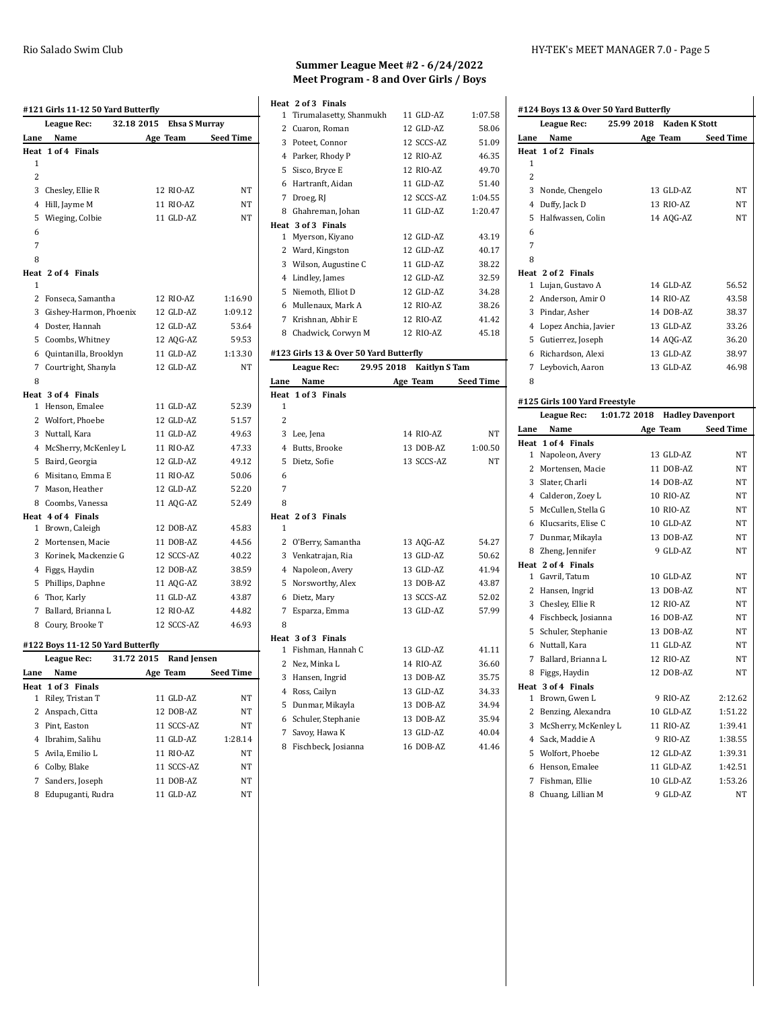| #121 Girls 11-12 50 Yard Butterfly |                                   |                      |                  |
|------------------------------------|-----------------------------------|----------------------|------------------|
|                                    | 32.18 2015<br>League Rec:         | <b>Ehsa S Murray</b> |                  |
| Lane                               | Name                              | Age Team             | <b>Seed Time</b> |
|                                    | Heat 1 of 4 Finals                |                      |                  |
| 1                                  |                                   |                      |                  |
| 2                                  |                                   |                      |                  |
| 3                                  | Chesley, Ellie R                  | 12 RIO-AZ            | NT               |
| 4                                  | Hill, Jayme M                     | 11 RIO-AZ            | NT               |
| 5                                  | Wieging, Colbie                   | 11 GLD-AZ            | NT               |
| 6                                  |                                   |                      |                  |
| 7                                  |                                   |                      |                  |
| 8                                  |                                   |                      |                  |
|                                    | Heat 2 of 4 Finals                |                      |                  |
| 1                                  |                                   |                      |                  |
| 2                                  | Fonseca, Samantha                 | 12 RIO-AZ            | 1:16.90          |
|                                    | 3 Gishey-Harmon, Phoenix          | 12 GLD-AZ            | 1:09.12          |
|                                    | 4 Doster, Hannah                  | 12 GLD-AZ            | 53.64            |
|                                    | 5 Coombs, Whitney                 | 12 AQG-AZ            | 59.53            |
|                                    | 6 Quintanilla, Brooklyn           | 11 GLD-AZ            | 1:13.30          |
| 7                                  | Courtright, Shanyla               | 12 GLD-AZ            | NT               |
| 8                                  |                                   |                      |                  |
|                                    | Heat 3 of 4 Finals                |                      |                  |
| 1                                  | Henson, Emalee                    | 11 GLD-AZ            | 52.39            |
|                                    | 2 Wolfort, Phoebe                 | 12 GLD-AZ            | 51.57            |
|                                    | 3 Nuttall, Kara                   | 11 GLD-AZ            | 49.63            |
|                                    | 4 McSherry, McKenley L            | 11 RIO-AZ            | 47.33            |
|                                    | 5 Baird, Georgia                  | 12 GLD-AZ            | 49.12            |
|                                    | 6 Misitano, Emma E                | 11 RIO-AZ            | 50.06            |
| 7                                  | Mason, Heather                    | 12 GLD-AZ            | 52.20            |
|                                    | 8 Coombs, Vanessa                 | 11 AQG-AZ            | 52.49            |
|                                    | Heat 4 of 4 Finals                |                      |                  |
| $\mathbf 1$                        | Brown, Caleigh                    | 12 DOB-AZ            | 45.83            |
| 2                                  | Mortensen, Macie                  | 11 DOB-AZ            | 44.56            |
| 3                                  | Korinek, Mackenzie G              | 12 SCCS-AZ           | 40.22            |
|                                    | 4 Figgs, Haydin                   | 12 DOB-AZ            | 38.59            |
|                                    | 5 Phillips, Daphne                | 11 AQG-AZ            | 38.92            |
| 6                                  | Thor, Karly                       | 11 GLD-AZ            | 43.87            |
| 7                                  | Ballard, Brianna L                | 12 RIO-AZ            | 44.82            |
|                                    | 8 Coury, Brooke T                 | 12 SCCS-AZ           | 46.93            |
|                                    | #122 Boys 11-12 50 Yard Butterfly |                      |                  |
|                                    | 31.72 2015<br>League Rec:         | <b>Rand Jensen</b>   |                  |
| Lane                               | Name                              | Age Team             | Seed Time        |
| Heat                               | 1 of 3 Finals                     |                      |                  |
| $\mathbf{1}$                       | Riley, Tristan T                  | 11 GLD-AZ            | NΤ               |
| $\overline{2}$                     | Anspach, Citta                    | 12 DOB-AZ            | NΤ               |
| 3                                  | Pint, Easton                      | 11 SCCS-AZ           | NΤ               |
| 4                                  | Ibrahim, Salihu                   | 11 GLD-AZ            | 1:28.14          |
| 5                                  | Avila, Emilio L                   | 11 RIO-AZ            | NΤ               |
|                                    | 6 Colby, Blake                    | 11 SCCS-AZ           | NΤ               |
| 7                                  | Sanders, Joseph                   | 11 DOB-AZ            | NΤ               |

Edupuganti, Rudra 11 GLD-AZ NT

### **Summer League Meet #2 - 6/24/2022 Meet Program - 8 and Over Girls / Boys**

| Heat 2 of 3 Finals |                           |            |         |  |
|--------------------|---------------------------|------------|---------|--|
|                    | 1 Tirumalasetty, Shanmukh | 11 GLD-AZ  | 1:07.58 |  |
| 2                  | Cuaron, Roman             | 12 GLD-AZ  | 58.06   |  |
| 3                  | Poteet. Connor            | 12 SCCS-AZ | 51.09   |  |
| 4                  | Parker, Rhody P           | 12 RIO-AZ  | 46.35   |  |
| 5                  | Sisco, Bryce E            | 12 RIO-AZ  | 49.70   |  |
| 6                  | Hartranft, Aidan          | 11 GLD-AZ  | 51.40   |  |
| 7                  | Droeg, RJ                 | 12 SCCS-AZ | 1:04.55 |  |
| 8                  | Ghahreman, Johan          | 11 GLD-AZ  | 1:20.47 |  |
|                    | Heat 3 of 3 Finals        |            |         |  |
| 1                  | Myerson, Kiyano           | 12 GLD-AZ  | 43.19   |  |
| 2                  | Ward, Kingston            | 12 GLD-AZ  | 40 17   |  |
| 3                  | Wilson, Augustine C       | 11 GLD-AZ  | 38.22   |  |
| 4                  | Lindley, James            | 12 GLD-AZ  | 32.59   |  |
| 5                  | Niemoth, Elliot D         | 12 GLD-AZ  | 34.28   |  |
| 6                  | Mullenaux, Mark A         | 12 RIO-AZ  | 38.26   |  |
| 7                  | Krishnan, Abhir E         | 12 RIO-AZ  | 41 42   |  |
| 8                  | Chadwick, Corwyn M        | 12 RIO-AZ  | 45.18   |  |

# **#123 Girls 13 & Over 50 Yard Butterfly**

|                | League Rec:         | 29.95 2018 | <b>Kaitlyn S Tam</b> |                  |
|----------------|---------------------|------------|----------------------|------------------|
| Lane           | Name                |            | Age Team             | <b>Seed Time</b> |
|                | Heat 1 of 3 Finals  |            |                      |                  |
| 1              |                     |            |                      |                  |
| $\overline{c}$ |                     |            |                      |                  |
| 3              | Lee, Jena           |            | 14 RIO-AZ            | NT               |
| 4              | Butts. Brooke       |            | 13 DOB-AZ            | 1:00.50          |
| 5              | Dietz, Sofie        |            | 13 SCCS-AZ           | NT               |
| 6              |                     |            |                      |                  |
| 7              |                     |            |                      |                  |
| 8              |                     |            |                      |                  |
|                | Heat 2 of 3 Finals  |            |                      |                  |
| 1              |                     |            |                      |                  |
| 2              | O'Berry, Samantha   |            | 13 AQG-AZ            | 54.27            |
|                | 3 Venkatrajan, Ria  |            | 13 GLD-AZ            | 50.62            |
| 4              | Napoleon, Avery     |            | 13 GLD-AZ            | 41.94            |
| 5.             | Norsworthy, Alex    |            | 13 DOB-AZ            | 43.87            |
| 6              | Dietz, Mary         |            | 13 SCCS-AZ           | 52.02            |
| 7              | Esparza, Emma       |            | 13 GLD-AZ            | 57.99            |
| 8              |                     |            |                      |                  |
|                | Heat 3 of 3 Finals  |            |                      |                  |
| $\mathbf{1}$   | Fishman, Hannah C   |            | 13 GLD-AZ            | 41.11            |
| 2              | Nez, Minka L        |            | 14 RIO-AZ            | 36.60            |
| 3              | Hansen, Ingrid      |            | 13 DOB-AZ            | 35.75            |
| 4              | Ross, Cailyn        |            | 13 GLD-AZ            | 34.33            |
| 5              | Dunmar, Mikayla     |            | 13 DOB-AZ            | 34.94            |
| 6              | Schuler, Stephanie  |            | 13 DOB-AZ            | 35.94            |
| 7              | Savoy, Hawa K       |            | 13 GLD-AZ            | 40.04            |
| 8              | Fischbeck, Josianna |            | 16 DOB-AZ            | 41.46            |
|                |                     |            |                      |                  |

|              | League Rec:                   | 25.99 2018         | <b>Kaden K Stott</b>             |
|--------------|-------------------------------|--------------------|----------------------------------|
| Lane         | Name                          | Age Team Seed Time |                                  |
|              | Heat 1 of 2 Finals            |                    |                                  |
| 1            |                               |                    |                                  |
| 2            |                               |                    |                                  |
|              | 3 Nonde, Chengelo             | 13 GLD-AZ          | NΤ                               |
|              | 4 Duffy, Jack D               | 13 RIO-AZ          | NΤ                               |
| 5            | Halfwassen, Colin             | 14 AQG-AZ          | NΤ                               |
| 6            |                               |                    |                                  |
| 7            |                               |                    |                                  |
| 8            |                               |                    |                                  |
|              | Heat 2 of 2 Finals            |                    |                                  |
|              | 1 Lujan, Gustavo A            | 14 GLD-AZ          | 56.52                            |
|              | 2 Anderson, Amir O            | 14 RIO-AZ          | 43.58                            |
|              | 3 Pindar, Asher               | 14 DOB-AZ          | 38.37                            |
|              | 4 Lopez Anchia, Javier        | 13 GLD-AZ          | 33.26                            |
|              | 5 Gutierrez, Joseph           | 14 AQG-AZ          | 36.20                            |
|              | 6 Richardson, Alexi           | 13 GLD-AZ          | 38.97                            |
|              | 7 Leybovich, Aaron            | 13 GLD-AZ          | 46.98                            |
| 8            |                               |                    |                                  |
|              | #125 Girls 100 Yard Freestyle |                    |                                  |
|              | <b>League Rec:</b>            | 1:01.72 2018       | <b>Hadley Davenport</b>          |
| Lane         | Name                          | Age Team           | <b>Seed Time</b>                 |
|              | Heat 1 of 4 Finals            |                    |                                  |
|              | 1 Napoleon, Avery             | 13 GLD-AZ          | NΤ                               |
|              | 2 Mortensen, Macie            | 11 DOB-AZ          | NT                               |
|              | 3 Slater, Charli              | 14 DOB-AZ          | NΤ                               |
|              | 4 Calderon, Zoey L            | 10 RIO-AZ          | NΤ                               |
|              | 5 McCullen, Stella G          | 10 RIO-AZ          | NΤ                               |
|              | 6 Klucsarits, Elise C         |                    |                                  |
|              |                               | 10 GLD-AZ          |                                  |
|              | 7 Dunmar, Mikayla             | 13 DOB-AZ          |                                  |
|              | 8 Zheng, Jennifer             | 9 GLD-AZ           |                                  |
|              | Heat 2 of 4 Finals            |                    |                                  |
|              | 1 Gavril, Tatum               | 10 GLD-AZ          |                                  |
|              | 2 Hansen, Ingrid              | 13 DOB-AZ          |                                  |
|              | 3 Chesley, Ellie R            | 12 RIO-AZ          | NΤ<br>NΤ<br>NΤ<br>NΤ<br>NT<br>NΤ |
|              | 4 Fischbeck, Josianna         | 16 DOB-AZ          |                                  |
|              | 5 Schuler, Stephanie          | 13 DOB-AZ          |                                  |
|              | 6 Nuttall, Kara               | 11 GLD-AZ          |                                  |
|              | 7 Ballard, Brianna L          | 12 RIO-AZ          | NΤ<br>NΤ<br>NΤ<br>NT             |
|              | 8 Figgs, Haydin               | 12 DOB-AZ          | NΤ                               |
|              | Heat 3 of 4 Finals            |                    |                                  |
| $\mathbf{1}$ | Brown, Gwen L                 | 9 RIO-AZ           | 2:12.62                          |
|              | 2 Benzing, Alexandra          | 10 GLD-AZ          |                                  |
|              | 3 McSherry, McKenley L        | 11 RIO-AZ          |                                  |
|              | 4 Sack, Maddie A              | 9 RIO-AZ           | 1:51.22<br>1:39.41<br>1:38.55    |
|              | 5 Wolfort, Phoebe             | 12 GLD-AZ          | 1:39.31                          |
|              | 6 Henson, Emalee              | 11 GLD-AZ          | 1:42.51                          |
|              | 7 Fishman, Ellie              | 10 GLD-AZ          | 1:53.26                          |